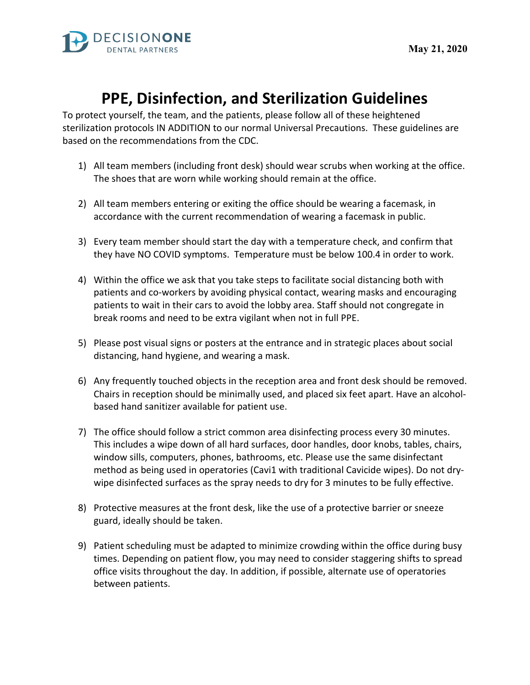

## **PPE, Disinfection, and Sterilization Guidelines**

To protect yourself, the team, and the patients, please follow all of these heightened sterilization protocols IN ADDITION to our normal Universal Precautions. These guidelines are based on the recommendations from the CDC.

- 1) All team members (including front desk) should wear scrubs when working at the office. The shoes that are worn while working should remain at the office.
- 2) All team members entering or exiting the office should be wearing a facemask, in accordance with the current recommendation of wearing a facemask in public.
- 3) Every team member should start the day with a temperature check, and confirm that they have NO COVID symptoms. Temperature must be below 100.4 in order to work.
- 4) Within the office we ask that you take steps to facilitate social distancing both with patients and co-workers by avoiding physical contact, wearing masks and encouraging patients to wait in their cars to avoid the lobby area. Staff should not congregate in break rooms and need to be extra vigilant when not in full PPE.
- 5) Please post visual signs or posters at the entrance and in strategic places about social distancing, hand hygiene, and wearing a mask.
- 6) Any frequently touched objects in the reception area and front desk should be removed. Chairs in reception should be minimally used, and placed six feet apart. Have an alcoholbased hand sanitizer available for patient use.
- 7) The office should follow a strict common area disinfecting process every 30 minutes. This includes a wipe down of all hard surfaces, door handles, door knobs, tables, chairs, window sills, computers, phones, bathrooms, etc. Please use the same disinfectant method as being used in operatories (Cavi1 with traditional Cavicide wipes). Do not drywipe disinfected surfaces as the spray needs to dry for 3 minutes to be fully effective.
- 8) Protective measures at the front desk, like the use of a protective barrier or sneeze guard, ideally should be taken.
- 9) Patient scheduling must be adapted to minimize crowding within the office during busy times. Depending on patient flow, you may need to consider staggering shifts to spread office visits throughout the day. In addition, if possible, alternate use of operatories between patients.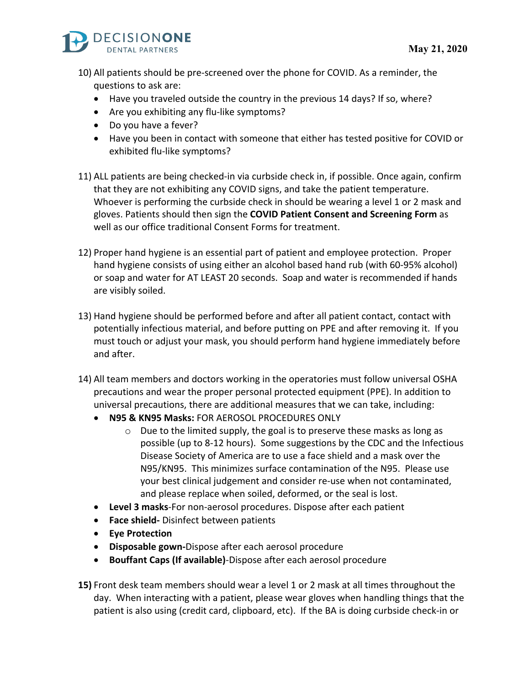

- 10) All patients should be pre-screened over the phone for COVID. As a reminder, the questions to ask are:
	- Have you traveled outside the country in the previous 14 days? If so, where?
	- Are you exhibiting any flu-like symptoms?
	- Do you have a fever?
	- Have you been in contact with someone that either has tested positive for COVID or exhibited flu-like symptoms?
- 11) ALL patients are being checked-in via curbside check in, if possible. Once again, confirm that they are not exhibiting any COVID signs, and take the patient temperature. Whoever is performing the curbside check in should be wearing a level 1 or 2 mask and gloves. Patients should then sign the **COVID Patient Consent and Screening Form** as well as our office traditional Consent Forms for treatment.
- 12) Proper hand hygiene is an essential part of patient and employee protection. Proper hand hygiene consists of using either an alcohol based hand rub (with 60-95% alcohol) or soap and water for AT LEAST 20 seconds. Soap and water is recommended if hands are visibly soiled.
- 13) Hand hygiene should be performed before and after all patient contact, contact with potentially infectious material, and before putting on PPE and after removing it. If you must touch or adjust your mask, you should perform hand hygiene immediately before and after.
- 14) All team members and doctors working in the operatories must follow universal OSHA precautions and wear the proper personal protected equipment (PPE). In addition to universal precautions, there are additional measures that we can take, including:
	- **N95 & KN95 Masks:** FOR AEROSOL PROCEDURES ONLY
		- o Due to the limited supply, the goal is to preserve these masks as long as possible (up to 8-12 hours).Some suggestions by the CDC and the Infectious Disease Society of America are to use a face shield and a mask over the N95/KN95. This minimizes surface contamination of the N95. Please use your best clinical judgement and consider re-use when not contaminated, and please replace when soiled, deformed, or the seal is lost.
	- **Level 3 masks**-For non-aerosol procedures. Dispose after each patient
	- **Face shield-** Disinfect between patients
	- **Eye Protection**
	- **Disposable gown-**Dispose after each aerosol procedure
	- **Bouffant Caps (If available)**-Dispose after each aerosol procedure

**15)** Front desk team members should wear a level 1 or 2 mask at all times throughout the day. When interacting with a patient, please wear gloves when handling things that the patient is also using (credit card, clipboard, etc). If the BA is doing curbside check-in or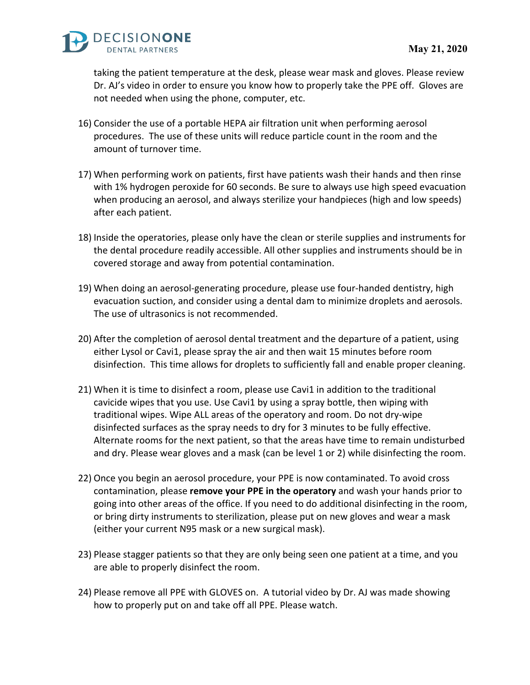

taking the patient temperature at the desk, please wear mask and gloves. Please review Dr. AJ's video in order to ensure you know how to properly take the PPE off. Gloves are not needed when using the phone, computer, etc.

- 16) Consider the use of a portable HEPA air filtration unit when performing aerosol procedures. The use of these units will reduce particle count in the room and the amount of turnover time.
- 17) When performing work on patients, first have patients wash their hands and then rinse with 1% hydrogen peroxide for 60 seconds. Be sure to always use high speed evacuation when producing an aerosol, and always sterilize your handpieces (high and low speeds) after each patient.
- 18) Inside the operatories, please only have the clean or sterile supplies and instruments for the dental procedure readily accessible. All other supplies and instruments should be in covered storage and away from potential contamination.
- 19) When doing an aerosol-generating procedure, please use four-handed dentistry, high evacuation suction, and consider using a dental dam to minimize droplets and aerosols. The use of ultrasonics is not recommended.
- 20) After the completion of aerosol dental treatment and the departure of a patient, using either Lysol or Cavi1, please spray the air and then wait 15 minutes before room disinfection. This time allows for droplets to sufficiently fall and enable proper cleaning.
- 21) When it is time to disinfect a room, please use Cavi1 in addition to the traditional cavicide wipes that you use. Use Cavi1 by using a spray bottle, then wiping with traditional wipes. Wipe ALL areas of the operatory and room. Do not dry-wipe disinfected surfaces as the spray needs to dry for 3 minutes to be fully effective. Alternate rooms for the next patient, so that the areas have time to remain undisturbed and dry. Please wear gloves and a mask (can be level 1 or 2) while disinfecting the room.
- 22) Once you begin an aerosol procedure, your PPE is now contaminated. To avoid cross contamination, please **remove your PPE in the operatory** and wash your hands prior to going into other areas of the office. If you need to do additional disinfecting in the room, or bring dirty instruments to sterilization, please put on new gloves and wear a mask (either your current N95 mask or a new surgical mask).
- 23) Please stagger patients so that they are only being seen one patient at a time, and you are able to properly disinfect the room.
- 24) Please remove all PPE with GLOVES on. A tutorial video by Dr. AJ was made showing how to properly put on and take off all PPE. Please watch.